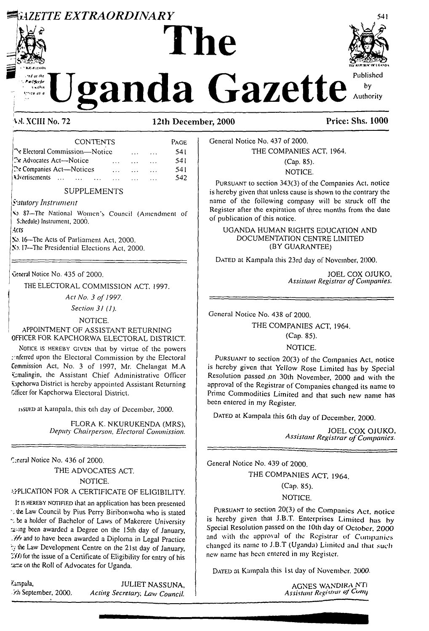# **ZETTE EXTRAORDINARY**



n Okeeks

# Published anda Gazette Authority

## V.M. XCIII No. 72

12th December. 2000

| <b>CONTENTS</b>                              |          | PAGE |
|----------------------------------------------|----------|------|
| The Electoral Commission—Notice              |          | 541  |
| $\mathbb{R}$ Advocates Act—Notice            |          | 541  |
| <b>The Companies Act—Notices</b><br>$\cdots$ | $\cdots$ | 541  |
| <b>A</b> Jvertisements                       |          | 542  |

## **SUPPLEMENTS**

#### Satutory Instrument

V2. 87-The National Women's Council (Amendment of Schedule) Instrument, 2000.

Acts

No. 16-The Acts of Parliament Act, 2000.

No. 17-The Presidential Elections Act, 2000.

General Notice No. 435 of 2000.

THE ELECTORAL COMMISSION ACT, 1997.

Act No. 3 of 1997.

Section 31 (1).

NOTICE.

#### APPOINTMENT OF ASSISTANT RETURNING OFFICER FOR KAPCHORWA ELECTORAL DISTRICT.

NOTICE IS HEREBY GIVEN that by virtue of the powers enferred upon the Electoral Commission by the Electoral Commission Act, No. 3 of 1997, Mr. Chelangat M.A. Kmalingin, the Assistant Chief Administrative Officer Kapchorwa District is hereby appointed Assistant Returning Officer for Kapchorwa Electoral District.

issuen at Kampala, this 6th day of December, 2000.

FLORA K. NKURUKENDA (MRS), Deputy Chairperson, Electoral Commission.

Ceneral Notice No. 436 of 2000. THE ADVOCATES ACT.

NOTICE.

## APLICATION FOR A CERTIFICATE OF ELIGIBILITY.

It is HEREBY NOTIFIED that an application has been presented the Law Council by Pius Perry Biribonwoha who is stated to be a holder of Bachelor of Laws of Makerere University taxing been awarded a Degree on the 15th day of January. 339 and to have been awarded a Diploma in Legal Practice by the Law Development Centre on the 21st day of January,  $\mathcal{L}(\mathcal{L})$  for the issue of a Certificate of Eligibility for entry of his tame on the Roll of Advocates for Uganda.

Kampala, Fh September, 2000.

**JULIET NASSUNA.** Acting Secretary, Law Council.

Price: Shs. 1000

 $b\mathsf{v}$ 

General Notice No. 437 of 2000.

#### THE COMPANIES ACT. 1964.

(Cap. 85). NOTICE.

PURSUANT to section 343(3) of the Companies Act, notice is hereby given that unless cause is shown to the contrary the name of the following company will be struck off the Register after the expiration of three months from the date of publication of this notice.

UGANDA HUMAN RIGHTS EDUCATION AND DOCUMENTATION CENTRE LIMITED (BY GUARANTEE)

DATED at Kampala this 23rd day of November, 2000.

JOEL COX OJUKO. **Assistant Registrar of Companies.** 

General Notice No. 438 of 2000

THE COMPANIES ACT, 1964.

(Cap. 85).

NOTICE.

PURSUANT to section 20(3) of the Companies Act, notice is hereby given that Yellow Rose Limited has by Special Resolution passed on 30th November, 2000 and with the approval of the Registrar of Companies changed its name to Prime Commodities Limited and that such new name has been entered in my Register.

DATED at Kampala this 6th day of December, 2000.

JOEL COX OJUKO, Assistant Registrar of Companies.

General Notice No. 439 of 2000.

THE COMPANIES ACT, 1964.

(Cap. 85).

NOTICE.

PURSUANT to section 20(3) of the Companies Act, notice is hereby given that J.B.T. Enterprises Limited has by Special Resolution passed on the 10th day of October, 2000 and with the approval of the Registrar of Companies changed its name to J.B.T (Uganda) Limited and that such new name has been entered in my Register.

DATED at Kampala this 1st day of November, 2000.

AGNES WANDIRA NTI Assistant Registral of Comp